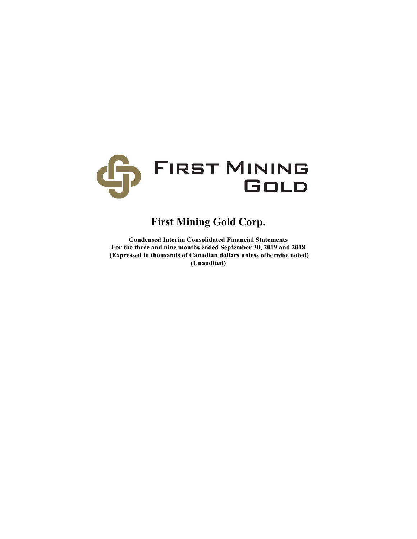

# **First Mining Gold Corp.**

**Condensed Interim Consolidated Financial Statements For the three and nine months ended September 30, 2019 and 2018 (Expressed in thousands of Canadian dollars unless otherwise noted) (Unaudited)**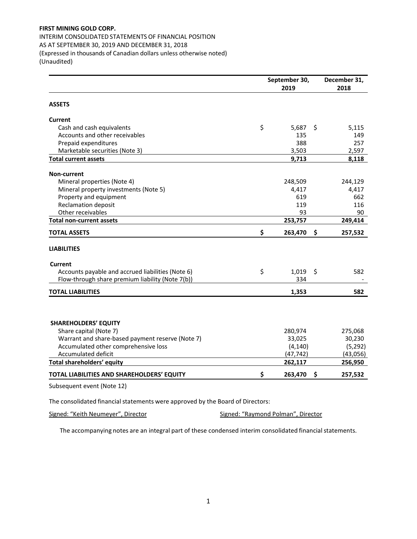INTERIM CONSOLIDATED STATEMENTS OF FINANCIAL POSITION AS AT SEPTEMBER 30, 2019 AND DECEMBER 31, 2018 (Expressed in thousands of Canadian dollars unless otherwise noted) (Unaudited)

|                                                   | September 30, | December 31,<br>2018 |     |          |
|---------------------------------------------------|---------------|----------------------|-----|----------|
| <b>ASSETS</b>                                     |               |                      |     |          |
| Current                                           |               |                      |     |          |
| Cash and cash equivalents                         | \$            | 5,687                | \$  | 5,115    |
| Accounts and other receivables                    |               | 135                  |     | 149      |
| Prepaid expenditures                              |               | 388                  |     | 257      |
| Marketable securities (Note 3)                    |               | 3,503                |     | 2,597    |
| <b>Total current assets</b>                       |               | 9,713                |     | 8,118    |
| <b>Non-current</b>                                |               |                      |     |          |
| Mineral properties (Note 4)                       |               | 248,509              |     | 244,129  |
| Mineral property investments (Note 5)             |               | 4,417                |     | 4,417    |
| Property and equipment                            |               | 619                  |     | 662      |
| <b>Reclamation deposit</b>                        |               | 119                  |     | 116      |
| Other receivables                                 |               | 93                   |     | 90       |
| <b>Total non-current assets</b>                   |               | 253,757              |     | 249,414  |
| <b>TOTAL ASSETS</b>                               | \$            | 263,470              | \$  | 257,532  |
| <b>LIABILITIES</b>                                |               |                      |     |          |
| <b>Current</b>                                    |               |                      |     |          |
| Accounts payable and accrued liabilities (Note 6) | \$            | 1,019                | \$  | 582      |
| Flow-through share premium liability (Note 7(b))  |               | 334                  |     |          |
| <b>TOTAL LIABILITIES</b>                          |               | 1,353                |     | 582      |
|                                                   |               |                      |     |          |
| <b>SHAREHOLDERS' EQUITY</b>                       |               |                      |     |          |
| Share capital (Note 7)                            |               | 280,974              |     | 275,068  |
| Warrant and share-based payment reserve (Note 7)  |               | 33,025               |     | 30,230   |
| Accumulated other comprehensive loss              |               | (4, 140)             |     | (5, 292) |
| Accumulated deficit                               |               | (47, 742)            |     | (43,056) |
| Total shareholders' equity                        |               | 262,117              |     | 256,950  |
| TOTAL LIABILITIES AND SHAREHOLDERS' EQUITY        | \$            | 263,470              | \$. | 257,532  |
| Subsequent event (Note 12)                        |               |                      |     |          |

The consolidated financial statements were approved by the Board of Directors:

Signed: "Keith Neumeyer", Director **Signed: "Raymond Polman"**, Director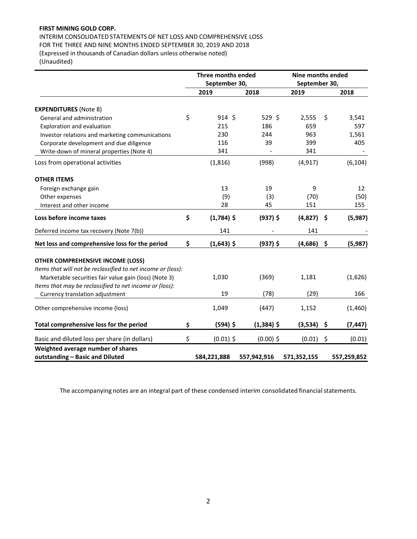INTERIM CONSOLIDATED STATEMENTS OF NET LOSS AND COMPREHENSIVE LOSS FOR THE THREE AND NINE MONTHS ENDED SEPTEMBER 30, 2019 AND 2018 (Expressed in thousands of Canadian dollars unless otherwise noted) (Unaudited)

**Three months ended September 30, Nine months ended September 30, 2019 2018 2019 2018 EXPENDITURES** (Note 8) General and administration  $\zeta$   $\zeta$  914  $\zeta$  529  $\zeta$  2,555  $\zeta$  3,541 Exploration and evaluation and evaluation and the state of the state of the state of the state of the state of the state of the state of the state of the state of the state of the state of the state of the state of the sta Investor relations and marketing communications 230 244 963 1,561 Corporate development and due diligence  $116$   $39$   $399$   $405$ Write‐down of mineral properties (Note 4) 341 ‐ 341 ‐ Loss from operational activities (1,816) (998) (4,917) (6,104) **OTHER ITEMS** Foreign exchange gain and the same state of the state of the state of the state of the state of the state of the state of the state of the state of the state of the state of the state of the state of the state of the state Other expenses (9) (3) (70) (50) Interest and other income  $\begin{array}{cccc} 28 & 45 & 151 & 155 \end{array}$ Loss before income taxes **5 (1,784)** \$ (937) \$ (4,827) \$ (5,987) Deferred income tax recovery (Note 7(b)) 141 ‐ 141 ‐ **Net loss and comprehensive loss for the period**  $\qquad$  **\$ (1,643) \$ (937) \$ (4,686) \$ (5,987) OTHER COMPREHENSIVE INCOME (LOSS)**  *Items that will not be reclassified to net income or (loss):*  Marketable securities fair value gain (loss) (Note 3) 1,030 (369) 1,181 (1,626) *Items that may be reclassified to net income or (loss):*  Currency translation adjustment 19 166 19 (78) (29) 166 Other comprehensive income (loss) 1,049 (447) 1,152 (1,460) **Total comprehensive loss for the period \$ (594) \$ (1,384) \$ (3,534) \$ (7,447)**  Basic and diluted loss per share (in dollars)  $\zeta$  (0.01)  $\zeta$  (0.00)  $\zeta$  (0.01)  $\zeta$  (0.01) (0.01) **Weighted average number of shares outstanding – Basic and Diluted 584,221,888 557,942,916 571,352,155 557,259,852**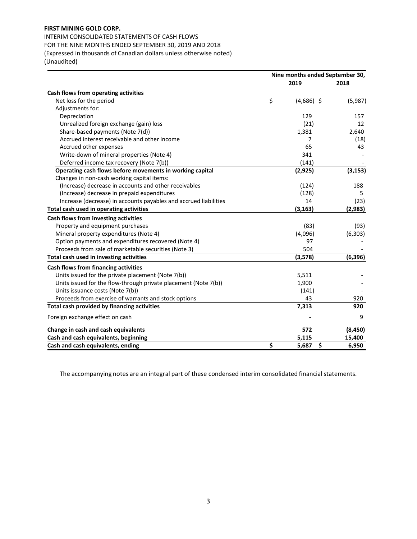INTERIM CONSOLIDATED STATEMENTS OF CASH FLOWS FOR THE NINE MONTHS ENDED SEPTEMBER 30, 2019 AND 2018 (Expressed in thousands of Canadian dollars unless otherwise noted) (Unaudited)

|                                                                  | Nine months ended September 30, |              |          |  |
|------------------------------------------------------------------|---------------------------------|--------------|----------|--|
|                                                                  |                                 | 2019         | 2018     |  |
| Cash flows from operating activities                             |                                 |              |          |  |
| Net loss for the period                                          | \$                              | $(4,686)$ \$ | (5,987)  |  |
| Adjustments for:                                                 |                                 |              |          |  |
| Depreciation                                                     |                                 | 129          | 157      |  |
| Unrealized foreign exchange (gain) loss                          |                                 | (21)         | 12       |  |
| Share-based payments (Note 7(d))                                 |                                 | 1,381        | 2,640    |  |
| Accrued interest receivable and other income                     |                                 | 7            | (18)     |  |
| Accrued other expenses                                           |                                 | 65           | 43       |  |
| Write-down of mineral properties (Note 4)                        |                                 | 341          |          |  |
| Deferred income tax recovery (Note 7(b))                         |                                 | (141)        |          |  |
| Operating cash flows before movements in working capital         |                                 | (2,925)      | (3, 153) |  |
| Changes in non-cash working capital items:                       |                                 |              |          |  |
| (Increase) decrease in accounts and other receivables            |                                 | (124)        | 188      |  |
| (Increase) decrease in prepaid expenditures                      |                                 | (128)        | 5        |  |
| Increase (decrease) in accounts payables and accrued liabilities |                                 | 14           | (23)     |  |
| Total cash used in operating activities                          |                                 | (3, 163)     | (2,983)  |  |
| Cash flows from investing activities                             |                                 |              |          |  |
| Property and equipment purchases                                 |                                 | (83)         | (93)     |  |
| Mineral property expenditures (Note 4)                           |                                 | (4,096)      | (6, 303) |  |
| Option payments and expenditures recovered (Note 4)              |                                 | 97           |          |  |
| Proceeds from sale of marketable securities (Note 3)             |                                 | 504          |          |  |
| Total cash used in investing activities                          |                                 | (3,578)      | (6, 396) |  |
| Cash flows from financing activities                             |                                 |              |          |  |
| Units issued for the private placement (Note 7(b))               |                                 | 5,511        |          |  |
| Units issued for the flow-through private placement (Note 7(b))  |                                 | 1,900        |          |  |
| Units issuance costs (Note 7(b))                                 |                                 | (141)        |          |  |
| Proceeds from exercise of warrants and stock options             |                                 | 43           | 920      |  |
| Total cash provided by financing activities                      |                                 | 7,313        | 920      |  |
| Foreign exchange effect on cash                                  |                                 |              | 9        |  |
| Change in cash and cash equivalents                              |                                 | 572          | (8, 450) |  |
| Cash and cash equivalents, beginning                             |                                 | 5,115        | 15,400   |  |
| Cash and cash equivalents, ending                                | \$                              | \$<br>5,687  | 6,950    |  |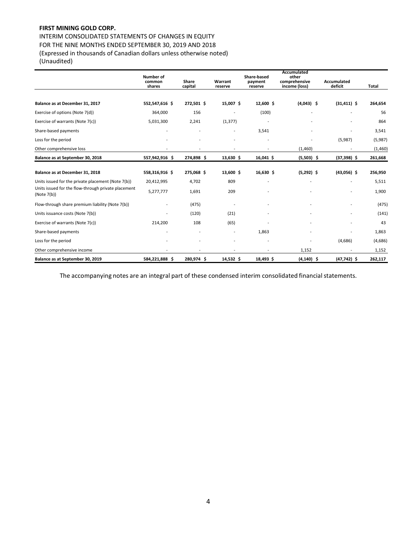INTERIM CONSOLIDATED STATEMENTS OF CHANGES IN EQUITY FOR THE NINE MONTHS ENDED SEPTEMBER 30, 2019 AND 2018 (Expressed in thousands of Canadian dollars unless otherwise noted) (Unaudited)

|                                                                       | Number of<br>common<br>shares | Share<br>capital | Warrant<br>reserve       | Share-based<br>payment<br>reserve | Accumulated<br>other<br>comprehensive<br>income (loss) | <b>Accumulated</b><br>deficit | Total   |
|-----------------------------------------------------------------------|-------------------------------|------------------|--------------------------|-----------------------------------|--------------------------------------------------------|-------------------------------|---------|
|                                                                       |                               |                  |                          |                                   |                                                        |                               |         |
| Balance as at December 31, 2017                                       | 552,547,616 \$                | 272,501 \$       | 15,007 \$                | 12,600 \$                         | $(4,043)$ \$                                           | $(31, 411)$ \$                | 264,654 |
| Exercise of options (Note 7(d))                                       | 364,000                       | 156              | $\overline{a}$           | (100)                             |                                                        |                               | 56      |
| Exercise of warrants (Note 7(c))                                      | 5,031,300                     | 2,241            | (1, 377)                 |                                   |                                                        |                               | 864     |
| Share-based payments                                                  |                               |                  | $\overline{\phantom{a}}$ | 3,541                             |                                                        |                               | 3,541   |
| Loss for the period                                                   |                               |                  |                          |                                   |                                                        | (5,987)                       | (5,987) |
| Other comprehensive loss                                              |                               |                  |                          |                                   | (1,460)                                                |                               | (1,460) |
| Balance as at September 30, 2018                                      | 557,942,916 \$                | 274,898 \$       | $13,630$ \$              | 16,041 \$                         | $(5,503)$ \$                                           | $(37,398)$ \$                 | 261,668 |
| Balance as at December 31, 2018                                       | 558,316,916 \$                | 275,068 \$       | 13,600 \$                | 16,630 \$                         | $(5,292)$ \$                                           | $(43,056)$ \$                 | 256,950 |
| Units issued for the private placement (Note 7(b))                    | 20,412,995                    | 4,702            | 809                      |                                   |                                                        |                               | 5,511   |
| Units issued for the flow-through private placement<br>(Note $7(b)$ ) | 5,277,777                     | 1,691            | 209                      |                                   |                                                        |                               | 1,900   |
| Flow-through share premium liability (Note 7(b))                      |                               | (475)            | $\overline{a}$           |                                   |                                                        |                               | (475)   |
| Units issuance costs (Note 7(b))                                      |                               | (120)            | (21)                     |                                   |                                                        |                               | (141)   |
| Exercise of warrants (Note 7(c))                                      | 214,200                       | 108              | (65)                     |                                   |                                                        |                               | 43      |
| Share-based payments                                                  |                               |                  |                          | 1,863                             |                                                        |                               | 1,863   |
| Loss for the period                                                   |                               |                  |                          |                                   |                                                        | (4,686)                       | (4,686) |
| Other comprehensive income                                            |                               |                  |                          |                                   | 1,152                                                  |                               | 1,152   |
| Balance as at September 30, 2019                                      | 584,221,888 \$                | 280,974 \$       | 14,532 \$                | 18,493 \$                         | $(4, 140)$ \$                                          | $(47, 742)$ \$                | 262,117 |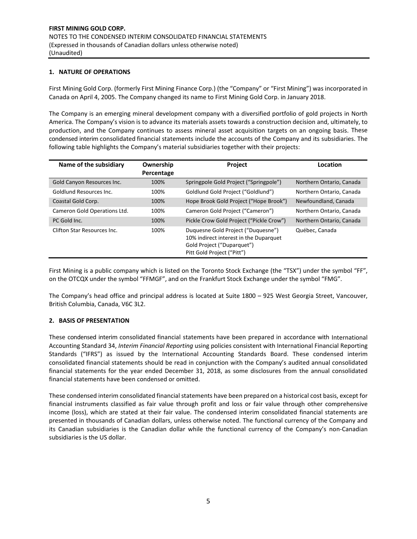## **1. NATURE OF OPERATIONS**

First Mining Gold Corp. (formerly First Mining Finance Corp.) (the "Company" or "First Mining") was incorporated in Canada on April 4, 2005. The Company changed its name to First Mining Gold Corp. in January 2018.

The Company is an emerging mineral development company with a diversified portfolio of gold projects in North America. The Company's vision is to advance its materials assets towards a construction decision and, ultimately, to production, and the Company continues to assess mineral asset acquisition targets on an ongoing basis. These condensed interim consolidated financial statements include the accounts of the Company and its subsidiaries. The following table highlights the Company's material subsidiaries together with their projects:

| Name of the subsidiary       | Ownership<br>Percentage | <b>Project</b>                                                                                                                           | Location                 |
|------------------------------|-------------------------|------------------------------------------------------------------------------------------------------------------------------------------|--------------------------|
| Gold Canyon Resources Inc.   | 100%                    | Springpole Gold Project ("Springpole")                                                                                                   | Northern Ontario, Canada |
| Goldlund Resources Inc.      | 100%                    | Goldlund Gold Project ("Goldlund")                                                                                                       | Northern Ontario, Canada |
| Coastal Gold Corp.           | 100%                    | Hope Brook Gold Project ("Hope Brook")                                                                                                   | Newfoundland, Canada     |
| Cameron Gold Operations Ltd. | 100%                    | Cameron Gold Project ("Cameron")                                                                                                         | Northern Ontario, Canada |
| PC Gold Inc.                 | 100%                    | Pickle Crow Gold Project ("Pickle Crow")                                                                                                 | Northern Ontario, Canada |
| Clifton Star Resources Inc.  | 100%                    | Duguesne Gold Project ("Duguesne")<br>10% indirect interest in the Duparquet<br>Gold Project ("Duparquet")<br>Pitt Gold Project ("Pitt") | Québec. Canada           |

First Mining is a public company which is listed on the Toronto Stock Exchange (the "TSX") under the symbol "FF", on the OTCQX under the symbol "FFMGF", and on the Frankfurt Stock Exchange under the symbol "FMG".

The Company's head office and principal address is located at Suite 1800 – 925 West Georgia Street, Vancouver, British Columbia, Canada, V6C 3L2.

## **2. BASIS OF PRESENTATION**

These condensed interim consolidated financial statements have been prepared in accordance with International Accounting Standard 34, *Interim Financial Reporting* using policies consistent with International Financial Reporting Standards ("IFRS") as issued by the International Accounting Standards Board. These condensed interim consolidated financial statements should be read in conjunction with the Company's audited annual consolidated financial statements for the year ended December 31, 2018, as some disclosures from the annual consolidated financial statements have been condensed or omitted.

These condensed interim consolidated financial statements have been prepared on a historical cost basis, except for financial instruments classified as fair value through profit and loss or fair value through other comprehensive income (loss), which are stated at their fair value. The condensed interim consolidated financial statements are presented in thousands of Canadian dollars, unless otherwise noted. The functional currency of the Company and its Canadian subsidiaries is the Canadian dollar while the functional currency of the Company's non-Canadian subsidiaries is the US dollar.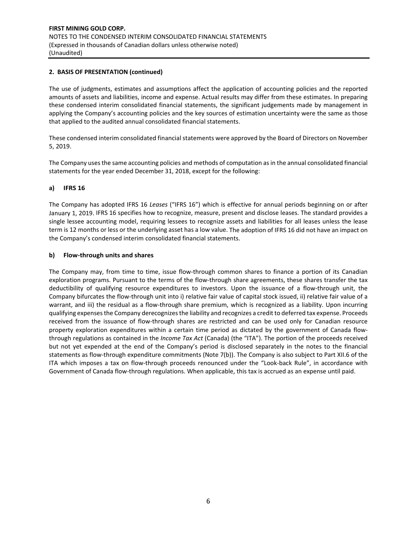## **2. BASIS OF PRESENTATION (continued)**

The use of judgments, estimates and assumptions affect the application of accounting policies and the reported amounts of assets and liabilities, income and expense. Actual results may differ from these estimates. In preparing these condensed interim consolidated financial statements, the significant judgements made by management in applying the Company's accounting policies and the key sources of estimation uncertainty were the same as those that applied to the audited annual consolidated financial statements.

These condensed interim consolidated financial statements were approved by the Board of Directors on November 5, 2019.

The Company uses the same accounting policies and methods of computation as in the annual consolidated financial statements for the year ended December 31, 2018, except for the following:

## **a) IFRS 16**

The Company has adopted IFRS 16 *Leases* ("IFRS 16") which is effective for annual periods beginning on or after January 1, 2019. IFRS 16 specifies how to recognize, measure, present and disclose leases. The standard provides a single lessee accounting model, requiring lessees to recognize assets and liabilities for all leases unless the lease term is 12 months or less or the underlying asset has a low value. The adoption of IFRS 16 did not have an impact on the Company's condensed interim consolidated financial statements.

#### **b) Flow‐through units and shares**

The Company may, from time to time, issue flow-through common shares to finance a portion of its Canadian exploration programs. Pursuant to the terms of the flow-through share agreements, these shares transfer the tax deductibility of qualifying resource expenditures to investors. Upon the issuance of a flow-through unit, the Company bifurcates the flow‐through unit into i) relative fair value of capital stock issued, ii) relative fair value of a warrant, and iii) the residual as a flow-through share premium, which is recognized as a liability. Upon incurring qualifying expenses the Company derecognizes the liability and recognizes a credit to deferred tax expense. Proceeds received from the issuance of flow-through shares are restricted and can be used only for Canadian resource property exploration expenditures within a certain time period as dictated by the government of Canada flowthrough regulations as contained in the *Income Tax Act* (Canada) (the "ITA"). The portion of the proceeds received but not yet expended at the end of the Company's period is disclosed separately in the notes to the financial statements as flow‐through expenditure commitments (Note 7(b)). The Company is also subject to Part XII.6 of the ITA which imposes a tax on flow-through proceeds renounced under the "Look-back Rule", in accordance with Government of Canada flow‐through regulations. When applicable, this tax is accrued as an expense until paid.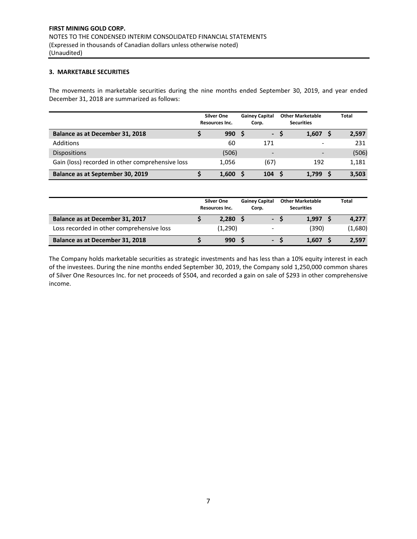## **3. MARKETABLE SECURITIES**

The movements in marketable securities during the nine months ended September 30, 2019, and year ended December 31, 2018 are summarized as follows:

|                                                  | <b>Silver One</b><br><b>Resources Inc.</b> | <b>Gainey Capital</b><br>Corp. | <b>Other Marketable</b><br><b>Securities</b> |   | <b>Total</b> |
|--------------------------------------------------|--------------------------------------------|--------------------------------|----------------------------------------------|---|--------------|
| Balance as at December 31, 2018                  | 990                                        | $\mathcal{L}_{\mathcal{A}}$    | 1.607                                        | S | 2,597        |
| Additions                                        | 60                                         | 171                            |                                              |   | 231          |
| <b>Dispositions</b>                              | (506)                                      | $\overline{\phantom{0}}$       | -                                            |   | (506)        |
| Gain (loss) recorded in other comprehensive loss | 1.056                                      | (67)                           | 192                                          |   | 1,181        |
| Balance as at September 30, 2019                 | 1,600                                      | 104                            | 1,799                                        |   | 3,503        |

|                                           | <b>Silver One</b><br>Resources Inc. | <b>Gainey Capital</b><br>Corp. | <b>Other Marketable</b><br><b>Securities</b> | <b>Total</b> |
|-------------------------------------------|-------------------------------------|--------------------------------|----------------------------------------------|--------------|
| Balance as at December 31, 2017           | 2,280                               | real of                        | 1.997                                        | 4,277        |
| Loss recorded in other comprehensive loss | (1,290)                             | $\overline{\phantom{0}}$       | (390)                                        | (1,680)      |
| Balance as at December 31, 2018           | 990 <sub>5</sub>                    | <b>Table 1</b>                 | 1.607                                        | 2,597        |

The Company holds marketable securities as strategic investments and has less than a 10% equity interest in each of the investees. During the nine months ended September 30, 2019, the Company sold 1,250,000 common shares of Silver One Resources Inc. for net proceeds of \$504, and recorded a gain on sale of \$293 in other comprehensive income.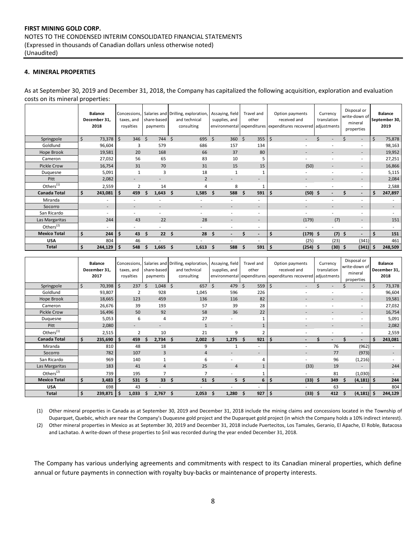## **4. MINERAL PROPERTIES**

As at September 30, 2019 and December 31, 2018, the Company has capitalized the following acquisition, exploration and evaluation costs on its mineral properties:

|                       | <b>Balance</b><br>December 31,<br>2018 | taxes, and<br>royalties | share-based<br>payments | Concessions, Salaries and Drilling, exploration,<br>and technical<br>consulting | Assaying, field<br>supplies, and | Travel and<br>other           | Option payments<br>received and<br>environmental expenditures expenditures recovered adjustments | Currency<br>translation | Disposal or<br>write-down of<br>mineral<br>properties | <b>Balance</b><br>September 30,<br>2019 |
|-----------------------|----------------------------------------|-------------------------|-------------------------|---------------------------------------------------------------------------------|----------------------------------|-------------------------------|--------------------------------------------------------------------------------------------------|-------------------------|-------------------------------------------------------|-----------------------------------------|
| Springpole            | \$<br>73,378                           | 346 \$<br>$\zeta$       | 744                     | Ŝ.<br>695                                                                       | Ś.<br>360                        | Ŝ.<br>355                     | $\zeta$                                                                                          |                         | $\overline{\phantom{0}}$                              | Ś.<br>75,878                            |
| Goldlund              | 96,604                                 | 3                       | 579                     | 686                                                                             | 157                              | 134                           |                                                                                                  |                         | ۰.                                                    | 98,163                                  |
| Hope Brook            | 19,581                                 | 20                      | 168                     | 66                                                                              | 37                               | 80                            | $\overline{\phantom{a}}$                                                                         |                         | $\overline{\phantom{a}}$                              | 19,952                                  |
| Cameron               | 27,032                                 | 56                      | 65                      | 83                                                                              | 10                               | 5                             | ۰.                                                                                               |                         |                                                       | 27,251                                  |
| Pickle Crow           | 16,754                                 | 31                      | 70                      | 31                                                                              | 15                               | 15                            | (50)                                                                                             |                         | $\overline{\phantom{a}}$                              | 16,866                                  |
| Duquesne              | 5,091                                  | $\mathbf{1}$            | 3                       | 18                                                                              | 1                                |                               |                                                                                                  |                         | ۰.                                                    | 5,115                                   |
| Pitt                  | 2,082                                  |                         | ٠                       | $\overline{2}$                                                                  |                                  | $\overline{\phantom{a}}$      | $\overline{\phantom{a}}$                                                                         |                         | $\overline{\phantom{0}}$                              | 2,084                                   |
| Others <sup>(1)</sup> | 2,559                                  | $\overline{2}$          | 14                      | 4                                                                               | 8                                | $\mathbf{1}$                  |                                                                                                  |                         | ٠                                                     | 2,588                                   |
| <b>Canada Total</b>   | Ś.<br>243,081                          | \$<br>459               | 1,643                   | 1,585<br>Ŝ.                                                                     | 588<br>Ŝ                         | 591<br>Ŝ.                     | \$<br>(50)                                                                                       | -S                      | $\overline{\phantom{a}}$                              | 247,897<br>S                            |
| Miranda               | $\overline{\phantom{a}}$               |                         |                         |                                                                                 | ×.                               | ٠                             |                                                                                                  |                         | ۰.                                                    | ٠                                       |
| Socorro               | $\overline{\phantom{a}}$               |                         |                         |                                                                                 |                                  | $\overline{\phantom{a}}$      |                                                                                                  |                         | $\overline{\phantom{a}}$                              | ۰                                       |
| San Ricardo           | ٠                                      |                         |                         |                                                                                 |                                  | ٠                             | $\overline{\phantom{0}}$                                                                         |                         |                                                       |                                         |
| Las Margaritas        | 244                                    | 43                      | 22                      | 28                                                                              |                                  | $\overline{\phantom{a}}$      | (179)                                                                                            | (7)                     | $\overline{\phantom{a}}$                              | 151                                     |
| Others $(2)$          | ٠                                      |                         | ×.                      |                                                                                 |                                  | ٠                             |                                                                                                  |                         | $\overline{\phantom{a}}$                              | ٠.                                      |
| <b>Mexico Total</b>   | \$<br>244                              | \$<br>43                | 22<br>Ś                 | \$<br>28                                                                        | Ś.                               | Ś<br>$\overline{\phantom{a}}$ | \$<br>$(179)$ \$                                                                                 |                         | $(7)$ \$<br>$\overline{\phantom{a}}$                  | Ś.<br>151                               |
| <b>USA</b>            | 804                                    | 46                      |                         |                                                                                 | ×.                               | ٠                             | (25)                                                                                             | (23)                    | (341)                                                 | 461                                     |
| <b>Total</b>          | \$<br>244,129                          | Ś<br>548                | 1,665                   | Ś.<br>1,613                                                                     | 588<br>Ś.                        | 591<br>Ŝ                      | \$<br>(254)                                                                                      | $(30)$ \$<br>\$         | $(341)$ \$                                            | 248,509                                 |

|                     | <b>Balance</b><br>December 31,<br>2017 | taxes, and<br>royalties | share-based<br>payments  | Concessions, Salaries and Drilling, exploration, Assaying, field<br>and technical<br>consulting | supplies, and  | Travel and<br>other      | Option payments<br>received and<br>environmental expenditures expenditures recovered adjustments | Currency<br>translation  | Disposal or<br>write-down of<br>mineral<br>properties | <b>Balance</b><br>December 31,<br>2018 |
|---------------------|----------------------------------------|-------------------------|--------------------------|-------------------------------------------------------------------------------------------------|----------------|--------------------------|--------------------------------------------------------------------------------------------------|--------------------------|-------------------------------------------------------|----------------------------------------|
| Springpole          | Ś.<br>70,398                           | \$<br>237               | 1,048<br>$\varsigma$     | Ś.<br>657                                                                                       | Ŝ.<br>479 \$   | 559                      | $\zeta$                                                                                          |                          | $\overline{\phantom{a}}$                              | Ŝ.<br>73,378                           |
| Goldlund            | 93,807                                 | $\overline{2}$          | 928                      | 1,045                                                                                           | 596            | 226                      |                                                                                                  |                          |                                                       | 96,604                                 |
| Hope Brook          | 18,665                                 | 123                     | 459                      | 136                                                                                             | 116            | 82                       |                                                                                                  |                          |                                                       | 19,581                                 |
| Cameron             | 26,676                                 | 39                      | 193                      | 57                                                                                              | 39             | 28                       |                                                                                                  | ٠                        |                                                       | 27,032                                 |
| <b>Pickle Crow</b>  | 16,496                                 | 50                      | 92                       | 58                                                                                              | 36             | 22                       | $\overline{\phantom{0}}$                                                                         | $\sim$                   | $\overline{\phantom{a}}$                              | 16,754                                 |
| Duquesne            | 5,053                                  | 6                       | 4                        | 27                                                                                              |                |                          |                                                                                                  |                          |                                                       | 5,091                                  |
| Pitt                | 2,080                                  | ٠                       | $\overline{\phantom{a}}$ | $\mathbf{1}$                                                                                    | ٠              |                          |                                                                                                  | $\overline{\phantom{a}}$ |                                                       | 2,082                                  |
| Others $(1)$        | 2,515                                  | $\overline{2}$          | 10                       | 21                                                                                              | 9              |                          | $\sim$                                                                                           |                          | $\overline{\phantom{a}}$                              | 2,559                                  |
| Canada Total        | Ś.<br>235,690                          | Ś.<br>459               | 2,734<br>s               | 2,002<br>S                                                                                      | \$<br>1,275    | 921<br>\$.               | -\$                                                                                              |                          | $\overline{\phantom{a}}$                              | 243,081<br>Ś                           |
| Miranda             | 810                                    | 48                      | 18                       | 9                                                                                               |                | ۰                        |                                                                                                  | 76                       | (962)                                                 |                                        |
| Socorro             | 782                                    | 107                     | $\overline{3}$           | 4                                                                                               |                | $\overline{\phantom{a}}$ |                                                                                                  | 77                       | (973)                                                 |                                        |
| San Ricardo         | 969                                    | 140                     |                          | 6                                                                                               |                |                          |                                                                                                  | 96                       | (1,216)                                               |                                        |
| Las Margaritas      | 183                                    | 41                      | $\overline{4}$           | 25                                                                                              | $\overline{4}$ |                          | (33)                                                                                             | 19                       |                                                       | 244                                    |
| Others $(2)$        | 739                                    | 195                     |                          |                                                                                                 |                |                          |                                                                                                  | 81                       | (1,030)                                               |                                        |
| <b>Mexico Total</b> | Ś.<br>3,483                            | 531<br>S                | 33 <sup>2</sup><br>S     | 51<br>Ŝ.                                                                                        | -Ś             | 5 <sup>5</sup><br>6      | \$<br>(33)                                                                                       | 349<br>Ŝ.                | $(4, 181)$ \$<br>Ŝ                                    | 244                                    |
| <b>USA</b>          | 698                                    | 43                      |                          |                                                                                                 |                | ۰                        |                                                                                                  | 63                       |                                                       | 804                                    |
| Total               | Ś<br>239,871                           | 1,033<br>-\$            | 2,767<br>S               | 2,053<br>Ŝ.                                                                                     | Ś.<br>1,280    | 927<br>Ś                 | l\$<br>(33)                                                                                      | 412<br>Ŝ.                | $(4, 181)$ \$<br>Ś.                                   | 244,129                                |

(1) Other mineral properties in Canada as at September 30, 2019 and December 31, 2018 include the mining claims and concessions located in the Township of Duparquet, Quebéc, which are near the Company's Duquesne gold project and the Duparquet gold project (in which the Company holds a 10% indirect interest).

(2) Other mineral properties in Mexico as at September 30, 2019 and December 31, 2018 include Puertecitos, Los Tamales, Geranio, El Apache, El Roble, Batacosa and Lachatao. A write-down of these properties to \$nil was recorded during the year ended December 31, 2018.

The Company has various underlying agreements and commitments with respect to its Canadian mineral properties, which define annual or future payments in connection with royalty buy-backs or maintenance of property interests.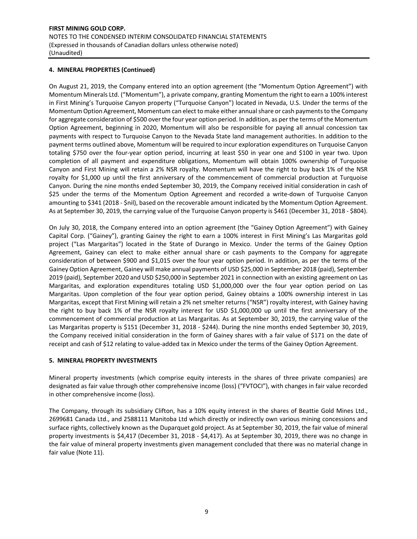## **4. MINERAL PROPERTIES (Continued)**

On August 21, 2019, the Company entered into an option agreement (the "Momentum Option Agreement") with Momentum Minerals Ltd. ("Momentum"), a private company, granting Momentum the right to earn a 100% interest in First Mining's Turquoise Canyon property ("Turquoise Canyon") located in Nevada, U.S. Under the terms of the Momentum Option Agreement, Momentum can elect to make either annual share or cash payments to the Company for aggregate consideration of \$500 over the four year option period. In addition, as per the terms of the Momentum Option Agreement, beginning in 2020, Momentum will also be responsible for paying all annual concession tax payments with respect to Turquoise Canyon to the Nevada State land management authorities. In addition to the payment terms outlined above, Momentum will be required to incur exploration expenditures on Turquoise Canyon totaling \$750 over the four-year option period, incurring at least \$50 in year one and \$100 in year two. Upon completion of all payment and expenditure obligations, Momentum will obtain 100% ownership of Turquoise Canyon and First Mining will retain a 2% NSR royalty. Momentum will have the right to buy back 1% of the NSR royalty for \$1,000 up until the first anniversary of the commencement of commercial production at Turquoise Canyon. During the nine months ended September 30, 2019, the Company received initial consideration in cash of \$25 under the terms of the Momentum Option Agreement and recorded a write-down of Turquoise Canyon amounting to \$341 (2018 - \$nil), based on the recoverable amount indicated by the Momentum Option Agreement. As at September 30, 2019, the carrying value of the Turquoise Canyon property is \$461 (December 31, 2018 ‐ \$804).

On July 30, 2018, the Company entered into an option agreement (the "Gainey Option Agreement") with Gainey Capital Corp. ("Gainey"), granting Gainey the right to earn a 100% interest in First Mining's Las Margaritas gold project ("Las Margaritas") located in the State of Durango in Mexico. Under the terms of the Gainey Option Agreement, Gainey can elect to make either annual share or cash payments to the Company for aggregate consideration of between \$900 and \$1,015 over the four year option period. In addition, as per the terms of the Gainey Option Agreement, Gainey will make annual payments of USD \$25,000 in September 2018 (paid), September 2019 (paid), September 2020 and USD \$250,000 in September 2021 in connection with an existing agreement on Las Margaritas, and exploration expenditures totaling USD \$1,000,000 over the four year option period on Las Margaritas. Upon completion of the four year option period, Gainey obtains a 100% ownership interest in Las Margaritas, except that First Mining will retain a 2% net smelter returns ("NSR") royalty interest, with Gainey having the right to buy back 1% of the NSR royalty interest for USD \$1,000,000 up until the first anniversary of the commencement of commercial production at Las Margaritas. As at September 30, 2019, the carrying value of the Las Margaritas property is \$151 (December 31, 2018 - \$244). During the nine months ended September 30, 2019, the Company received initial consideration in the form of Gainey shares with a fair value of \$171 on the date of receipt and cash of \$12 relating to value‐added tax in Mexico under the terms of the Gainey Option Agreement.

#### **5. MINERAL PROPERTY INVESTMENTS**

Mineral property investments (which comprise equity interests in the shares of three private companies) are designated as fair value through other comprehensive income (loss) ("FVTOCI"), with changes in fair value recorded in other comprehensive income (loss).

The Company, through its subsidiary Clifton, has a 10% equity interest in the shares of Beattie Gold Mines Ltd., 2699681 Canada Ltd., and 2588111 Manitoba Ltd which directly or indirectly own various mining concessions and surface rights, collectively known as the Duparquet gold project. As at September 30, 2019, the fair value of mineral property investments is \$4,417 (December 31, 2018 ‐ \$4,417). As at September 30, 2019, there was no change in the fair value of mineral property investments given management concluded that there was no material change in fair value (Note 11).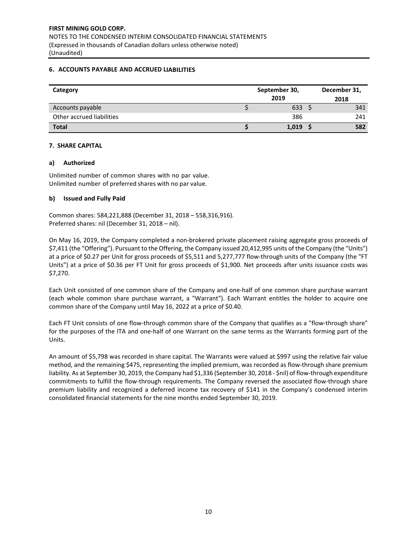## **6. ACCOUNTS PAYABLE AND ACCRUED LIABILITIES**

| Category                  | September 30, | December 31, |      |
|---------------------------|---------------|--------------|------|
|                           |               | 2019         | 2018 |
| Accounts payable          |               | 633          | 341  |
| Other accrued liabilities |               | 386          | 241  |
| <b>Total</b>              |               | 1,019        | 582  |

## **7. SHARE CAPITAL**

## **a) Authorized**

Unlimited number of common shares with no par value. Unlimited number of preferred shares with no par value.

## **b) Issued and Fully Paid**

Common shares: 584,221,888 (December 31, 2018 – 558,316,916). Preferred shares: nil (December 31, 2018 – nil).

On May 16, 2019, the Company completed a non‐brokered private placement raising aggregate gross proceeds of \$7,411 (the "Offering"). Pursuant to the Offering, the Company issued 20,412,995 units of the Company (the "Units") at a price of \$0.27 per Unit for gross proceeds of \$5,511 and 5,277,777 flow-through units of the Company (the "FT Units") at a price of \$0.36 per FT Unit for gross proceeds of \$1,900. Net proceeds after units issuance costs was \$7,270.

Each Unit consisted of one common share of the Company and one‐half of one common share purchase warrant (each whole common share purchase warrant, a "Warrant"). Each Warrant entitles the holder to acquire one common share of the Company until May 16, 2022 at a price of \$0.40.

Each FT Unit consists of one flow‐through common share of the Company that qualifies as a "flow‐through share" for the purposes of the ITA and one‐half of one Warrant on the same terms as the Warrants forming part of the Units.

An amount of \$5,798 was recorded in share capital. The Warrants were valued at \$997 using the relative fair value method, and the remaining \$475, representing the implied premium, was recorded as flow-through share premium liability. As at September 30, 2019, the Company had \$1,336 (September 30, 2018 ‐ \$nil) of flow‐through expenditure commitments to fulfill the flow-through requirements. The Company reversed the associated flow-through share premium liability and recognized a deferred income tax recovery of \$141 in the Company's condensed interim consolidated financial statements for the nine months ended September 30, 2019.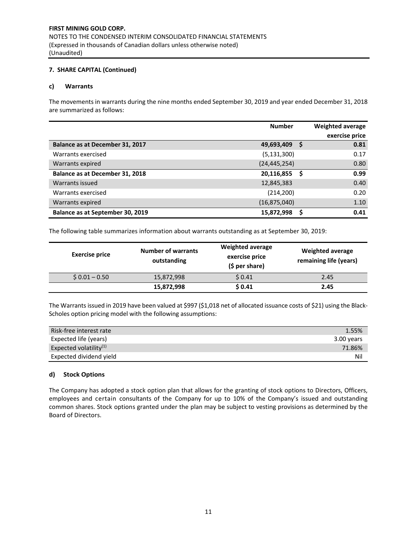## **7. SHARE CAPITAL (Continued)**

#### **c) Warrants**

The movements in warrants during the nine months ended September 30, 2019 and year ended December 31, 2018 are summarized as follows:

|                                  | <b>Number</b>  |   | Weighted average |
|----------------------------------|----------------|---|------------------|
|                                  |                |   | exercise price   |
| Balance as at December 31, 2017  | 49,693,409     | S | 0.81             |
| Warrants exercised               | (5, 131, 300)  |   | 0.17             |
| Warrants expired                 | (24, 445, 254) |   | 0.80             |
| Balance as at December 31, 2018  | 20,116,855     |   | 0.99             |
| Warrants issued                  | 12,845,383     |   | 0.40             |
| Warrants exercised               | (214, 200)     |   | 0.20             |
| Warrants expired                 | (16, 875, 040) |   | 1.10             |
| Balance as at September 30, 2019 | 15,872,998     |   | 0.41             |

The following table summarizes information about warrants outstanding as at September 30, 2019:

| <b>Exercise price</b> | <b>Number of warrants</b><br>outstanding | <b>Weighted average</b><br>exercise price<br>$(5$ per share) | <b>Weighted average</b><br>remaining life (years) |
|-----------------------|------------------------------------------|--------------------------------------------------------------|---------------------------------------------------|
| $$0.01 - 0.50$        | 15,872,998                               | \$0.41                                                       | 2.45                                              |
|                       | 15,872,998                               | \$0.41                                                       | 2.45                                              |

The Warrants issued in 2019 have been valued at \$997 (\$1,018 net of allocated issuance costs of \$21) using the Black-Scholes option pricing model with the following assumptions:

| Risk-free interest rate   | 1.55%      |
|---------------------------|------------|
| Expected life (years)     | 3.00 years |
| Expected volatility $(1)$ | 71.86%     |
| Expected dividend yield   | Nil        |

#### **d) Stock Options**

The Company has adopted a stock option plan that allows for the granting of stock options to Directors, Officers, employees and certain consultants of the Company for up to 10% of the Company's issued and outstanding common shares. Stock options granted under the plan may be subject to vesting provisions as determined by the Board of Directors.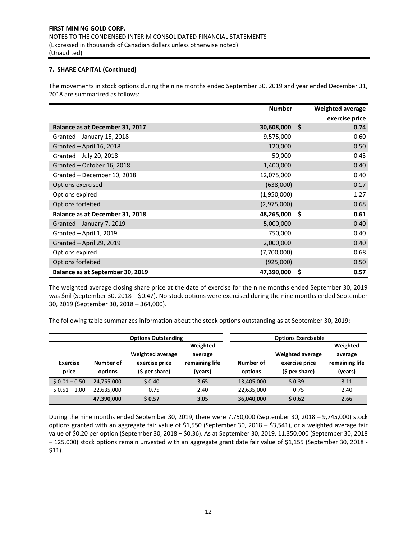## **7. SHARE CAPITAL (Continued)**

The movements in stock options during the nine months ended September 30, 2019 and year ended December 31, 2018 are summarized as follows:

|                                        | <b>Number</b> | Weighted average |
|----------------------------------------|---------------|------------------|
|                                        |               | exercise price   |
| <b>Balance as at December 31, 2017</b> | 30,608,000    | \$<br>0.74       |
| Granted - January 15, 2018             | 9,575,000     | 0.60             |
| Granted - April 16, 2018               | 120,000       | 0.50             |
| Granted - July 20, 2018                | 50,000        | 0.43             |
| Granted - October 16, 2018             | 1,400,000     | 0.40             |
| Granted - December 10, 2018            | 12,075,000    | 0.40             |
| Options exercised                      | (638,000)     | 0.17             |
| Options expired                        | (1,950,000)   | 1.27             |
| Options forfeited                      | (2,975,000)   | 0.68             |
| Balance as at December 31, 2018        | 48,265,000    | \$<br>0.61       |
| Granted - January 7, 2019              | 5,000,000     | 0.40             |
| Granted - April 1, 2019                | 750,000       | 0.40             |
| Granted - April 29, 2019               | 2,000,000     | 0.40             |
| Options expired                        | (7,700,000)   | 0.68             |
| Options forfeited                      | (925,000)     | 0.50             |
| Balance as at September 30, 2019       | 47,390,000    | \$<br>0.57       |

The weighted average closing share price at the date of exercise for the nine months ended September 30, 2019 was \$nil (September 30, 2018 – \$0.47). No stock options were exercised during the nine months ended September 30, 2019 (September 30, 2018 – 364,000).

The following table summarizes information about the stock options outstanding as at September 30, 2019:

|                          |                      | <b>Options Outstanding</b>                                  | <b>Options Exercisable</b>                       |                      |                                                              |                                                  |  |
|--------------------------|----------------------|-------------------------------------------------------------|--------------------------------------------------|----------------------|--------------------------------------------------------------|--------------------------------------------------|--|
| <b>Exercise</b><br>price | Number of<br>options | <b>Weighted average</b><br>exercise price<br>(\$ per share) | Weighted<br>average<br>remaining life<br>(years) | Number of<br>options | <b>Weighted average</b><br>exercise price<br>$(5 per share)$ | Weighted<br>average<br>remaining life<br>(years) |  |
| $$0.01 - 0.50$           | 24,755,000           | \$0.40                                                      | 3.65                                             | 13,405,000           | \$0.39                                                       | 3.11                                             |  |
| $$0.51 - 1.00$           | 22.635.000           | 0.75                                                        | 2.40                                             | 22,635,000           | 0.75                                                         | 2.40                                             |  |
|                          | 47,390,000           | \$0.57                                                      | 3.05                                             | 36,040,000           | \$0.62                                                       | 2.66                                             |  |

During the nine months ended September 30, 2019, there were 7,750,000 (September 30, 2018 – 9,745,000) stock options granted with an aggregate fair value of \$1,550 (September 30, 2018 – \$3,541), or a weighted average fair value of \$0.20 per option (September 30, 2018 – \$0.36). As at September 30, 2019, 11,350,000 (September 30, 2018 – 125,000) stock options remain unvested with an aggregate grant date fair value of \$1,155 (September 30, 2018 ‐ \$11).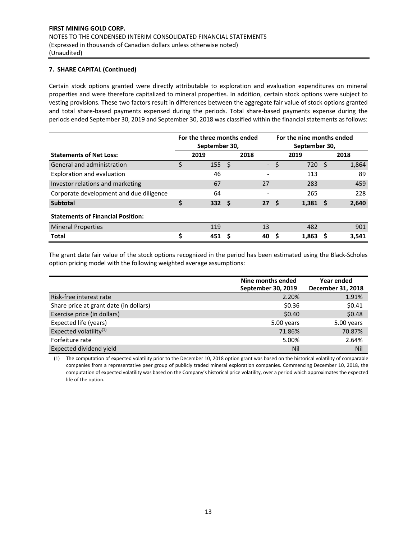## **7. SHARE CAPITAL (Continued)**

Certain stock options granted were directly attributable to exploration and evaluation expenditures on mineral properties and were therefore capitalized to mineral properties. In addition, certain stock options were subject to vesting provisions. These two factors result in differences between the aggregate fair value of stock options granted and total share-based payments expensed during the periods. Total share-based payments expense during the periods ended September 30, 2019 and September 30, 2018 was classified within the financial statements as follows:

|                                          | For the three months ended<br>For the nine months ended<br>September 30, |      |      | September 30,            |   |       |          |       |
|------------------------------------------|--------------------------------------------------------------------------|------|------|--------------------------|---|-------|----------|-------|
| <b>Statements of Net Loss:</b>           |                                                                          | 2019 |      | 2018                     |   | 2019  |          | 2018  |
| General and administration               | \$                                                                       | 155  | - \$ | $\overline{\phantom{a}}$ | Ś | 720   | -Ś       | 1,864 |
| Exploration and evaluation               |                                                                          | 46   |      |                          |   | 113   |          | 89    |
| Investor relations and marketing         |                                                                          | 67   |      | 27                       |   | 283   |          | 459   |
| Corporate development and due diligence  |                                                                          | 64   |      |                          |   | 265   |          | 228   |
| <b>Subtotal</b>                          | S                                                                        | 332  | - \$ | 27                       |   | 1,381 | <b>S</b> | 2,640 |
| <b>Statements of Financial Position:</b> |                                                                          |      |      |                          |   |       |          |       |
| <b>Mineral Properties</b>                |                                                                          | 119  |      | 13                       |   | 482   |          | 901   |
| <b>Total</b>                             |                                                                          | 451  | S    | 40                       |   | 1.863 |          | 3,541 |

The grant date fair value of the stock options recognized in the period has been estimated using the Black‐Scholes option pricing model with the following weighted average assumptions:

|                                        | Nine months ended<br>September 30, 2019 | Year ended<br>December 31, 2018 |
|----------------------------------------|-----------------------------------------|---------------------------------|
| Risk-free interest rate                | 2.20%                                   | 1.91%                           |
| Share price at grant date (in dollars) | \$0.36                                  | \$0.41                          |
| Exercise price (in dollars)            | \$0.40                                  | \$0.48                          |
| Expected life (years)                  | 5.00 years                              | 5.00 years                      |
| Expected volatility <sup>(1)</sup>     | 71.86%                                  | 70.87%                          |
| Forfeiture rate                        | 5.00%                                   | 2.64%                           |
| Expected dividend yield                | Nil                                     | Nil                             |

(1) The computation of expected volatility prior to the December 10, 2018 option grant was based on the historical volatility of comparable companies from a representative peer group of publicly traded mineral exploration companies. Commencing December 10, 2018, the computation of expected volatility was based on the Company's historical price volatility, over a period which approximates the expected life of the option.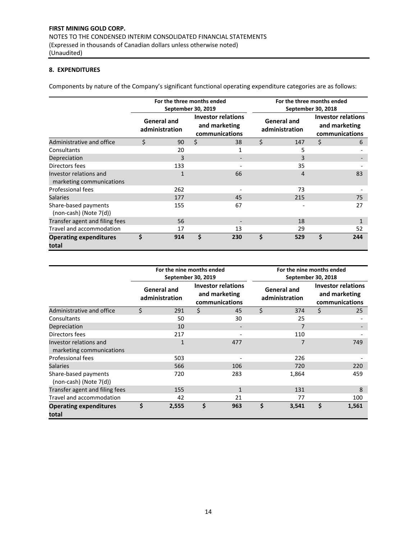## **8. EXPENDITURES**

Components by nature of the Company's significant functional operating expenditure categories are as follows:

|                                                    | For the three months ended    | September 30, 2019 |                                                              | For the three months ended<br>September 30, 2018 |                                      |                                                       |     |  |
|----------------------------------------------------|-------------------------------|--------------------|--------------------------------------------------------------|--------------------------------------------------|--------------------------------------|-------------------------------------------------------|-----|--|
|                                                    | General and<br>administration |                    | <b>Investor relations</b><br>and marketing<br>communications |                                                  | <b>General and</b><br>administration | Investor relations<br>and marketing<br>communications |     |  |
| Administrative and office                          | \$<br>90                      | \$                 | 38                                                           | \$                                               | 147                                  | \$                                                    | 6   |  |
| Consultants                                        | 20                            |                    | 1                                                            |                                                  | 5                                    |                                                       |     |  |
| Depreciation                                       | 3                             |                    |                                                              |                                                  | 3                                    |                                                       |     |  |
| Directors fees                                     | 133                           |                    |                                                              |                                                  | 35                                   |                                                       |     |  |
| Investor relations and<br>marketing communications | $\mathbf{1}$                  |                    | 66                                                           |                                                  | 4                                    |                                                       | 83  |  |
| Professional fees                                  | 262                           |                    |                                                              |                                                  | 73                                   |                                                       |     |  |
| <b>Salaries</b>                                    | 177                           |                    | 45                                                           |                                                  | 215                                  |                                                       | 75  |  |
| Share-based payments<br>(non-cash) (Note 7(d))     | 155                           |                    | 67                                                           |                                                  |                                      |                                                       | 27  |  |
| Transfer agent and filing fees                     | 56                            |                    |                                                              |                                                  | 18                                   |                                                       |     |  |
| Travel and accommodation                           | 17                            |                    | 13                                                           |                                                  | 29                                   |                                                       | 52  |  |
| <b>Operating expenditures</b><br>total             | \$<br>914                     | Ś                  | 230                                                          | \$                                               | 529                                  | \$                                                    | 244 |  |

|                                                     |                                      | For the nine months ended | September 30, 2019                                           |              | For the nine months ended<br>September 30, 2018 |       |    |                                                              |  |
|-----------------------------------------------------|--------------------------------------|---------------------------|--------------------------------------------------------------|--------------|-------------------------------------------------|-------|----|--------------------------------------------------------------|--|
|                                                     | <b>General and</b><br>administration |                           | <b>Investor relations</b><br>and marketing<br>communications |              | <b>General and</b><br>administration            |       |    | <b>Investor relations</b><br>and marketing<br>communications |  |
| Administrative and office                           | \$                                   | 291                       | Ś.                                                           | 45           | Ś.                                              | 374   | \$ | 25                                                           |  |
| Consultants                                         |                                      | 50                        |                                                              | 30           |                                                 | 25    |    |                                                              |  |
| Depreciation                                        |                                      | 10                        |                                                              |              |                                                 | 7     |    |                                                              |  |
| Directors fees                                      |                                      | 217                       |                                                              |              |                                                 | 110   |    |                                                              |  |
| Investor relations and<br>marketing communications  |                                      | $\mathbf{1}$              |                                                              | 477          |                                                 | 7     |    | 749                                                          |  |
| Professional fees                                   |                                      | 503                       |                                                              |              |                                                 | 226   |    |                                                              |  |
| <b>Salaries</b>                                     |                                      | 566                       |                                                              | 106          |                                                 | 720   |    | 220                                                          |  |
| Share-based payments<br>$(non-cash)$ (Note $7(d)$ ) |                                      | 720                       |                                                              | 283          |                                                 | 1,864 |    | 459                                                          |  |
| Transfer agent and filing fees                      |                                      | 155                       |                                                              | $\mathbf{1}$ |                                                 | 131   |    | 8                                                            |  |
| Travel and accommodation                            |                                      | 42                        |                                                              | 21           |                                                 | 77    |    | 100                                                          |  |
| <b>Operating expenditures</b><br>total              | \$                                   | 2,555                     | \$                                                           | 963          | \$                                              | 3,541 | Ś  | 1,561                                                        |  |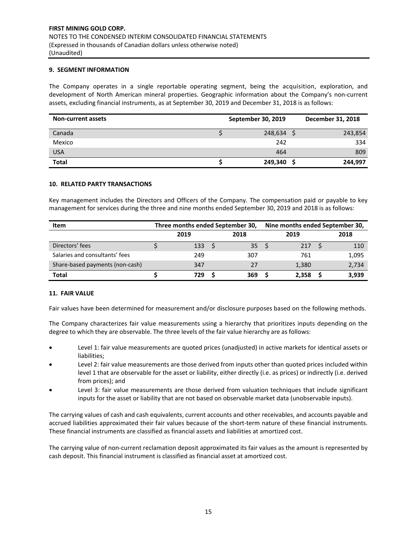## **9. SEGMENT INFORMATION**

The Company operates in a single reportable operating segment, being the acquisition, exploration, and development of North American mineral properties. Geographic information about the Company's non‐current assets, excluding financial instruments, as at September 30, 2019 and December 31, 2018 is as follows:

| <b>Non-current assets</b> | September 30, 2019 | December 31, 2018 |
|---------------------------|--------------------|-------------------|
| Canada                    | 248,634            | 243,854           |
| Mexico                    | 242                | 334               |
| <b>USA</b>                | 464                | 809               |
| <b>Total</b>              | 249,340            | 244,997           |

#### **10. RELATED PARTY TRANSACTIONS**

Key management includes the Directors and Officers of the Company. The compensation paid or payable to key management for services during the three and nine months ended September 30, 2019 and 2018 is as follows:

| <b>Item</b>                     |      | Three months ended September 30, |  | Nine months ended September 30, |      |       |  |       |
|---------------------------------|------|----------------------------------|--|---------------------------------|------|-------|--|-------|
|                                 | 2019 |                                  |  | 2018                            | 2019 |       |  |       |
| Directors' fees                 |      | 133                              |  | 35                              |      | 217   |  | 110   |
| Salaries and consultants' fees  |      | 249                              |  | 307                             |      | 761   |  | 1,095 |
| Share-based payments (non-cash) |      | 347                              |  | 27                              |      | 1,380 |  | 2,734 |
| Total                           |      | 729                              |  | 369                             |      | 2,358 |  | 3,939 |

## **11. FAIR VALUE**

Fair values have been determined for measurement and/or disclosure purposes based on the following methods.

The Company characterizes fair value measurements using a hierarchy that prioritizes inputs depending on the degree to which they are observable. The three levels of the fair value hierarchy are as follows:

- Level 1: fair value measurements are quoted prices (unadjusted) in active markets for identical assets or liabilities;
- Level 2: fair value measurements are those derived from inputs other than quoted prices included within level 1 that are observable for the asset or liability, either directly (i.e. as prices) or indirectly (i.e. derived from prices); and
- Level 3: fair value measurements are those derived from valuation techniques that include significant inputs for the asset or liability that are not based on observable market data (unobservable inputs).

The carrying values of cash and cash equivalents, current accounts and other receivables, and accounts payable and accrued liabilities approximated their fair values because of the short‐term nature of these financial instruments. These financial instruments are classified as financial assets and liabilities at amortized cost.

The carrying value of non-current reclamation deposit approximated its fair values as the amount is represented by cash deposit. This financial instrument is classified as financial asset at amortized cost.